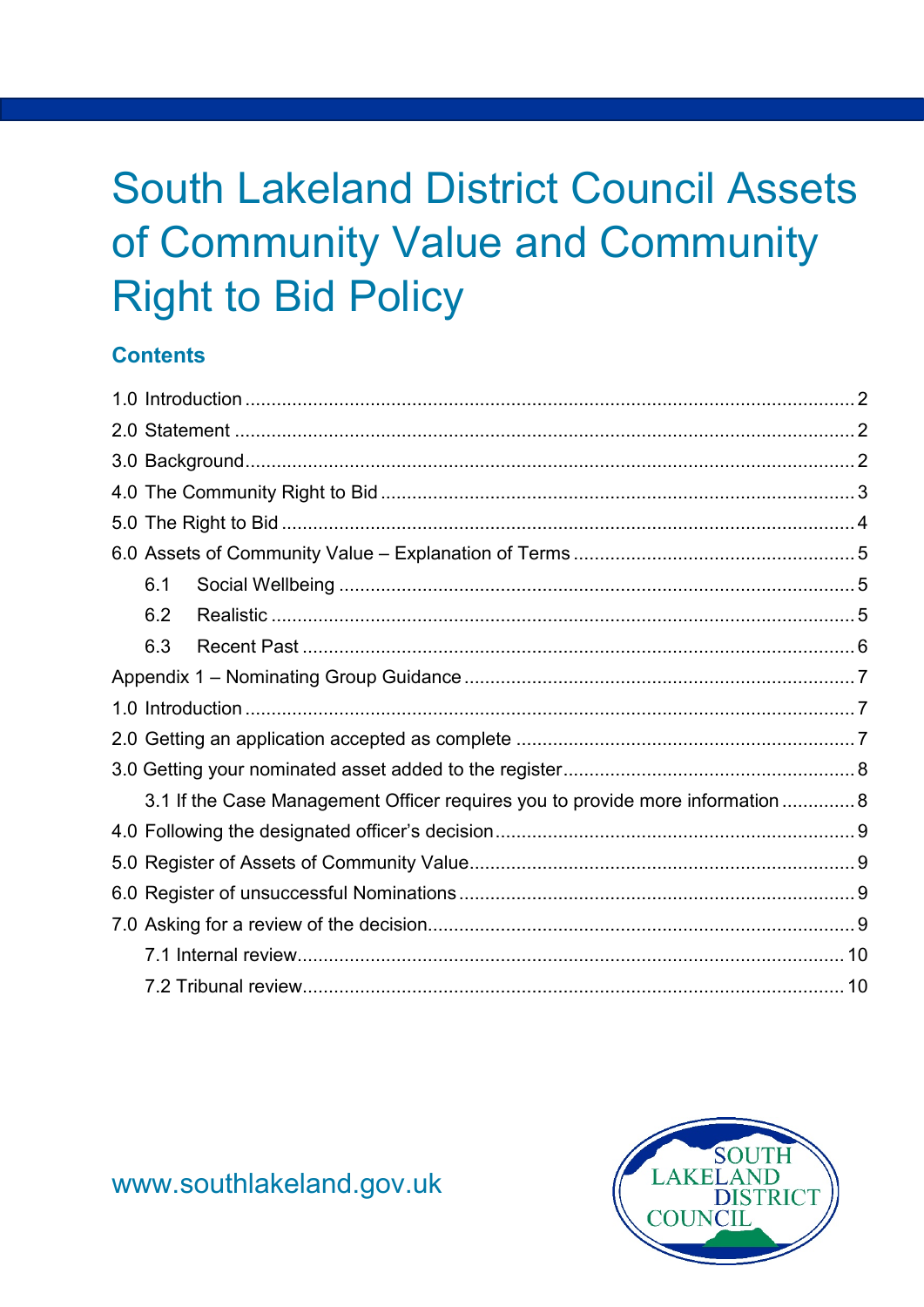# **South Lakeland District Council Assets** of Community Value and Community **Right to Bid Policy**

#### **Contents**

| 6.1                                                                            |  |
|--------------------------------------------------------------------------------|--|
| 6.2                                                                            |  |
| 6.3                                                                            |  |
|                                                                                |  |
|                                                                                |  |
|                                                                                |  |
|                                                                                |  |
| 3.1 If the Case Management Officer requires you to provide more information  8 |  |
|                                                                                |  |
|                                                                                |  |
|                                                                                |  |
|                                                                                |  |
|                                                                                |  |
|                                                                                |  |



www.southlakeland.gov.uk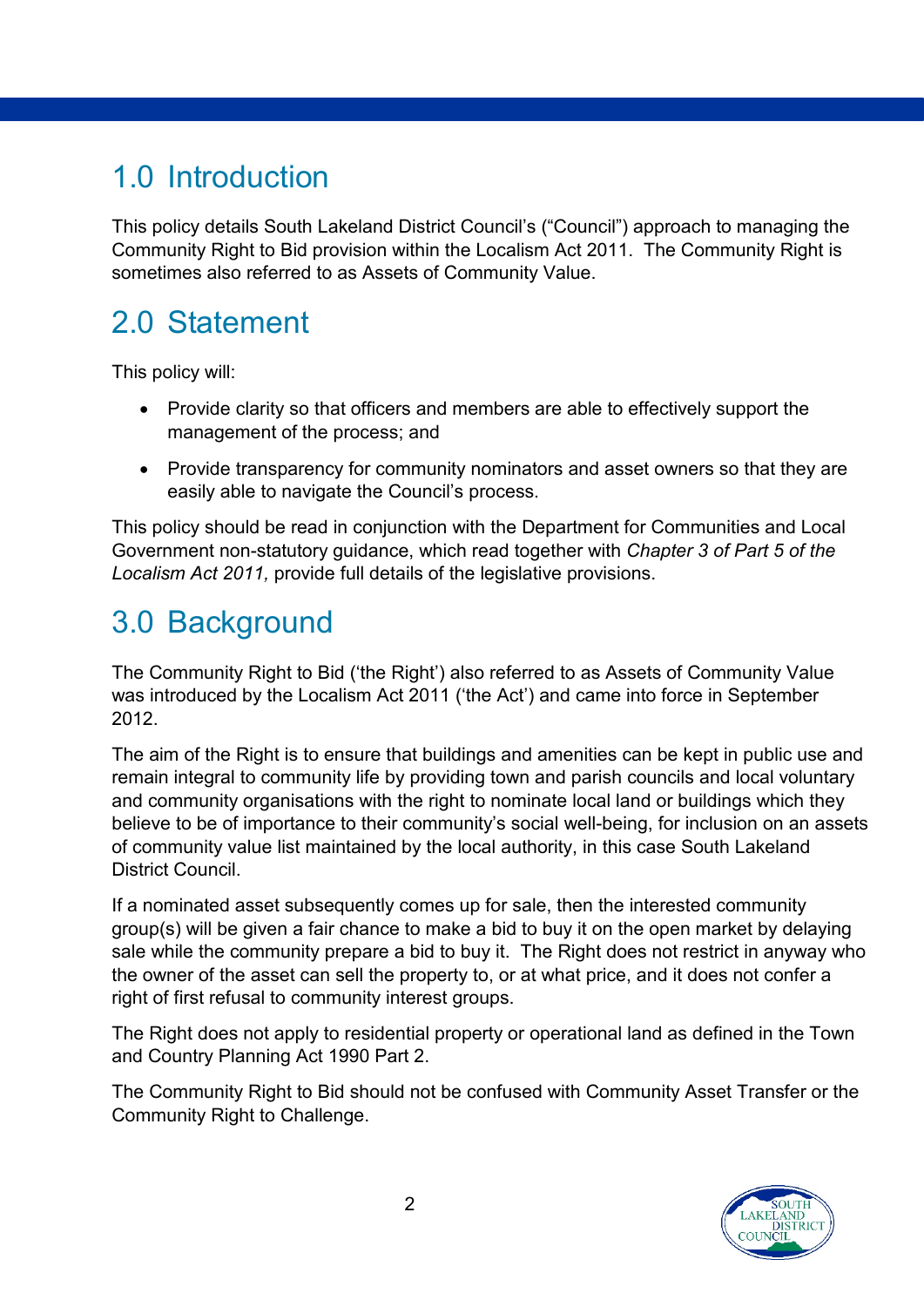#### <span id="page-1-0"></span>1.0 Introduction

This policy details South Lakeland District Council's ("Council") approach to managing the Community Right to Bid provision within the Localism Act 2011. The Community Right is sometimes also referred to as Assets of Community Value.

## <span id="page-1-1"></span>2.0 Statement

This policy will:

- Provide clarity so that officers and members are able to effectively support the management of the process; and
- Provide transparency for community nominators and asset owners so that they are easily able to navigate the Council's process.

This policy should be read in conjunction with the Department for Communities and Local Government non-statutory guidance, which read together with *Chapter 3 of Part 5 of the Localism Act 2011,* provide full details of the legislative provisions.

## <span id="page-1-2"></span>3.0 Background

The Community Right to Bid ('the Right') also referred to as Assets of Community Value was introduced by the Localism Act 2011 ('the Act') and came into force in September 2012.

The aim of the Right is to ensure that buildings and amenities can be kept in public use and remain integral to community life by providing town and parish councils and local voluntary and community organisations with the right to nominate local land or buildings which they believe to be of importance to their community's social well-being, for inclusion on an assets of community value list maintained by the local authority, in this case South Lakeland District Council.

If a nominated asset subsequently comes up for sale, then the interested community group(s) will be given a fair chance to make a bid to buy it on the open market by delaying sale while the community prepare a bid to buy it. The Right does not restrict in anyway who the owner of the asset can sell the property to, or at what price, and it does not confer a right of first refusal to community interest groups.

The Right does not apply to residential property or operational land as defined in the Town and Country Planning Act 1990 Part 2.

The Community Right to Bid should not be confused with Community Asset Transfer or the Community Right to Challenge.

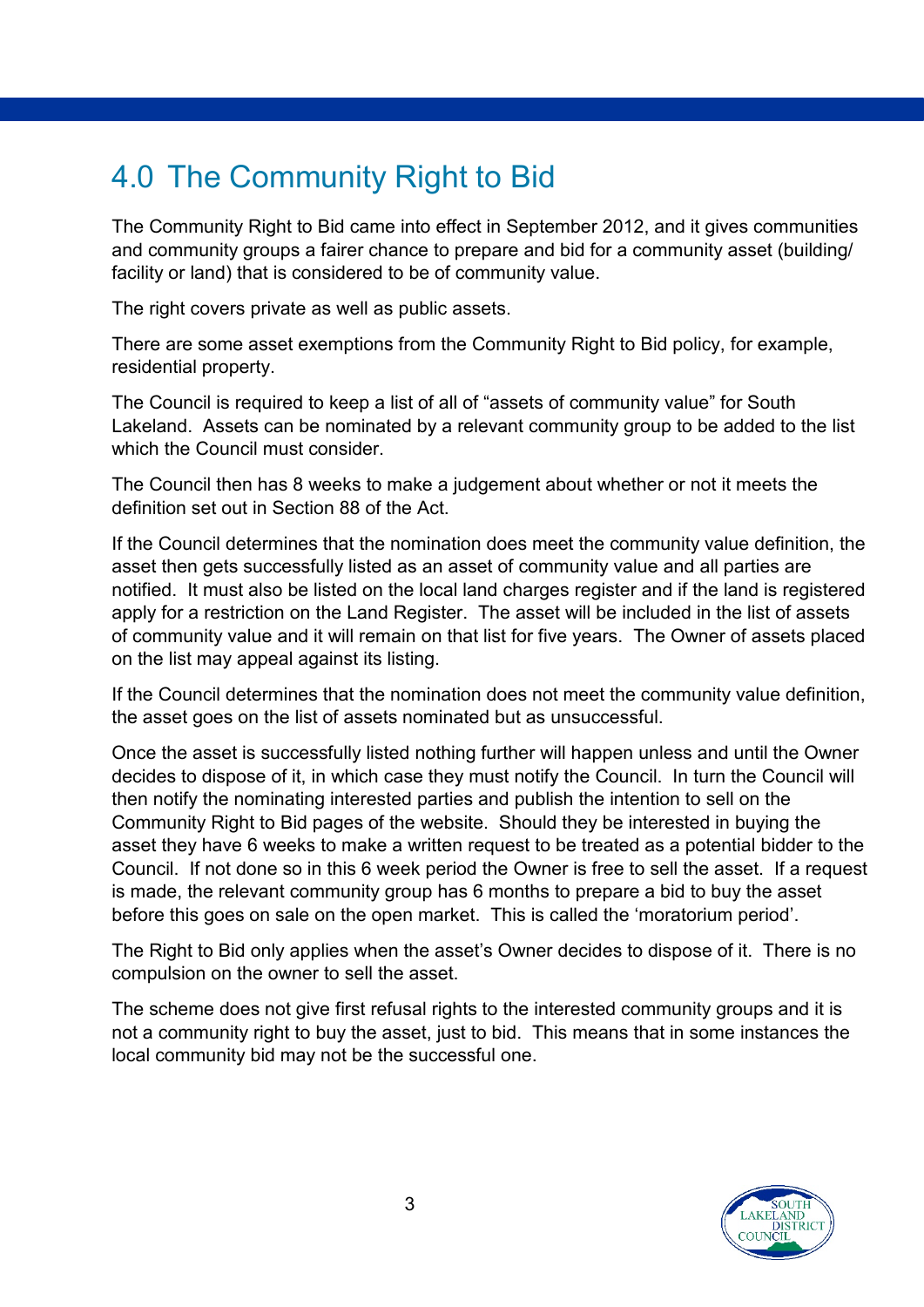## <span id="page-2-0"></span>4.0 The Community Right to Bid

The Community Right to Bid came into effect in September 2012, and it gives communities and community groups a fairer chance to prepare and bid for a community asset (building/ facility or land) that is considered to be of community value.

The right covers private as well as public assets.

There are some asset exemptions from the Community Right to Bid policy, for example, residential property.

The Council is required to keep a list of all of "assets of community value" for South Lakeland. Assets can be nominated by a relevant community group to be added to the list which the Council must consider.

The Council then has 8 weeks to make a judgement about whether or not it meets the definition set out in Section 88 of the Act.

If the Council determines that the nomination does meet the community value definition, the asset then gets successfully listed as an asset of community value and all parties are notified. It must also be listed on the local land charges register and if the land is registered apply for a restriction on the Land Register. The asset will be included in the list of assets of community value and it will remain on that list for five years. The Owner of assets placed on the list may appeal against its listing.

If the Council determines that the nomination does not meet the community value definition, the asset goes on the list of assets nominated but as unsuccessful.

Once the asset is successfully listed nothing further will happen unless and until the Owner decides to dispose of it, in which case they must notify the Council. In turn the Council will then notify the nominating interested parties and publish the intention to sell on the Community Right to Bid pages of the website. Should they be interested in buying the asset they have 6 weeks to make a written request to be treated as a potential bidder to the Council. If not done so in this 6 week period the Owner is free to sell the asset. If a request is made, the relevant community group has 6 months to prepare a bid to buy the asset before this goes on sale on the open market. This is called the 'moratorium period'.

The Right to Bid only applies when the asset's Owner decides to dispose of it. There is no compulsion on the owner to sell the asset.

The scheme does not give first refusal rights to the interested community groups and it is not a community right to buy the asset, just to bid. This means that in some instances the local community bid may not be the successful one.

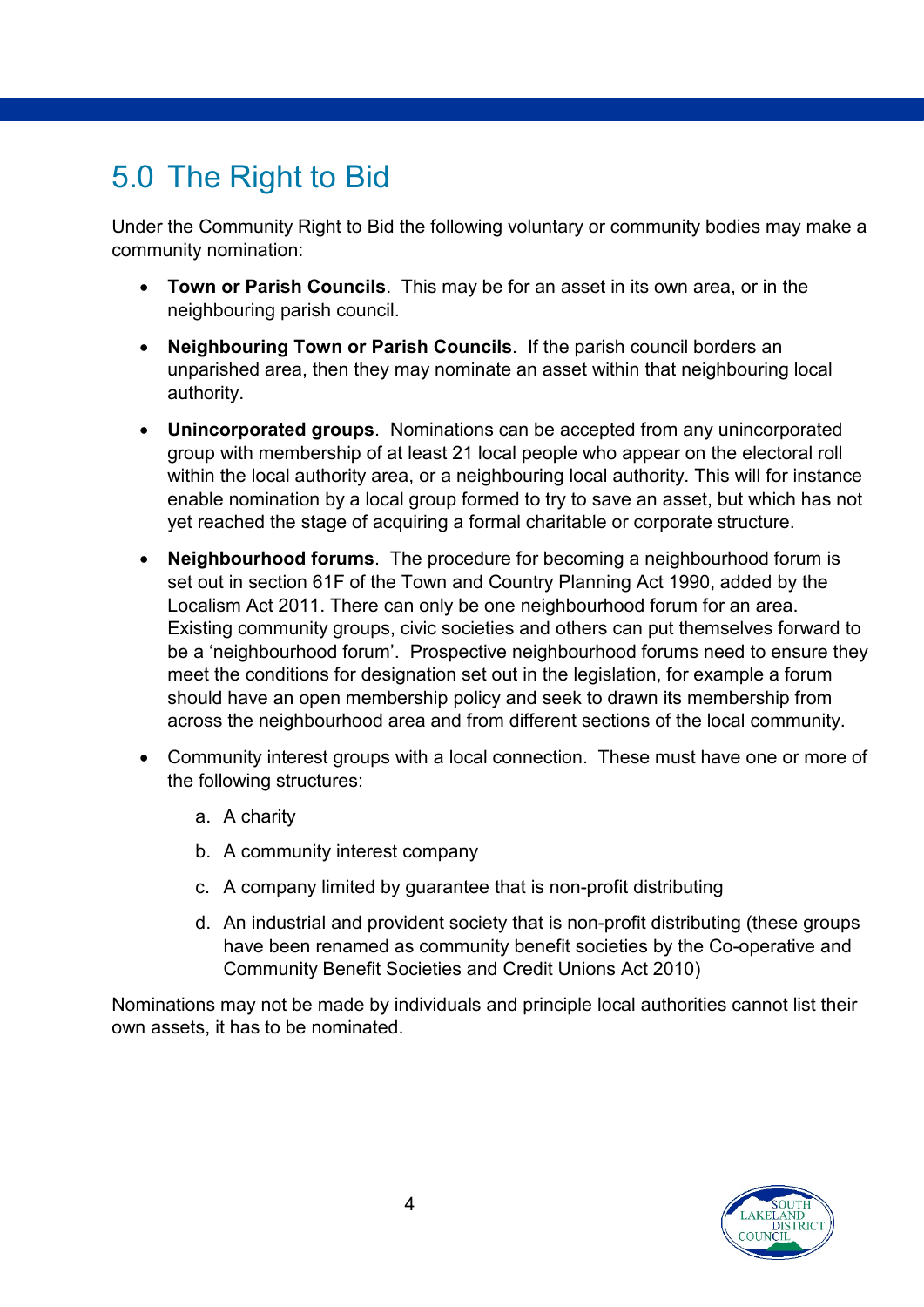## <span id="page-3-0"></span>5.0 The Right to Bid

Under the Community Right to Bid the following voluntary or community bodies may make a community nomination:

- **Town or Parish Councils**. This may be for an asset in its own area, or in the neighbouring parish council.
- **Neighbouring Town or Parish Councils**. If the parish council borders an unparished area, then they may nominate an asset within that neighbouring local authority.
- **Unincorporated groups**. Nominations can be accepted from any unincorporated group with membership of at least 21 local people who appear on the electoral roll within the local authority area, or a neighbouring local authority. This will for instance enable nomination by a local group formed to try to save an asset, but which has not yet reached the stage of acquiring a formal charitable or corporate structure.
- **Neighbourhood forums**. The procedure for becoming a neighbourhood forum is set out in section 61F of the Town and Country Planning Act 1990, added by the Localism Act 2011. There can only be one neighbourhood forum for an area. Existing community groups, civic societies and others can put themselves forward to be a 'neighbourhood forum'. Prospective neighbourhood forums need to ensure they meet the conditions for designation set out in the legislation, for example a forum should have an open membership policy and seek to drawn its membership from across the neighbourhood area and from different sections of the local community.
- Community interest groups with a local connection. These must have one or more of the following structures:
	- a. A charity
	- b. A community interest company
	- c. A company limited by guarantee that is non-profit distributing
	- d. An industrial and provident society that is non-profit distributing (these groups have been renamed as community benefit societies by the Co-operative and Community Benefit Societies and Credit Unions Act 2010)

Nominations may not be made by individuals and principle local authorities cannot list their own assets, it has to be nominated.

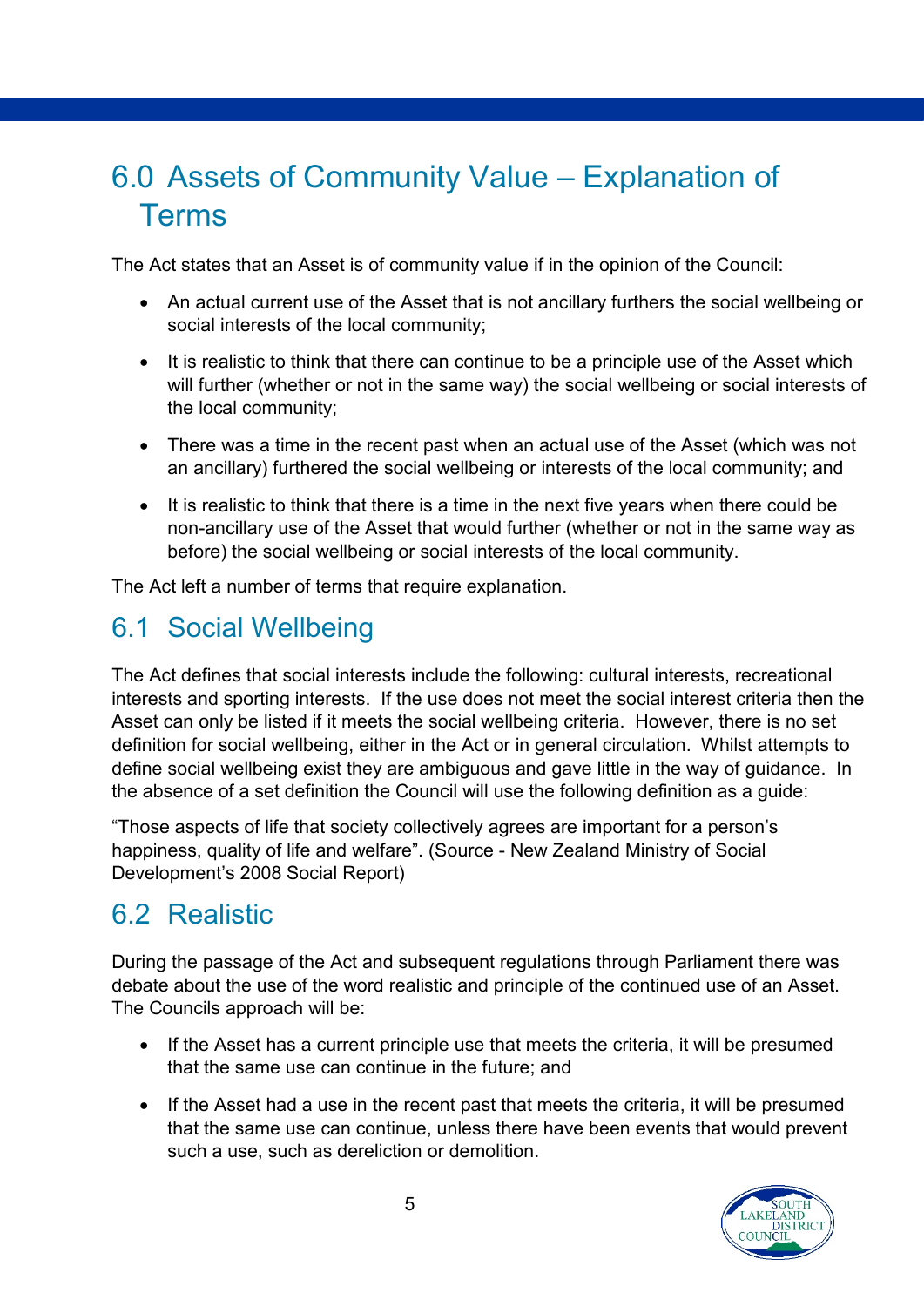## <span id="page-4-0"></span>6.0 Assets of Community Value – Explanation of Terms

The Act states that an Asset is of community value if in the opinion of the Council:

- An actual current use of the Asset that is not ancillary furthers the social wellbeing or social interests of the local community;
- It is realistic to think that there can continue to be a principle use of the Asset which will further (whether or not in the same way) the social wellbeing or social interests of the local community;
- There was a time in the recent past when an actual use of the Asset (which was not an ancillary) furthered the social wellbeing or interests of the local community; and
- It is realistic to think that there is a time in the next five years when there could be non-ancillary use of the Asset that would further (whether or not in the same way as before) the social wellbeing or social interests of the local community.

The Act left a number of terms that require explanation.

#### <span id="page-4-1"></span>6.1 Social Wellbeing

The Act defines that social interests include the following: cultural interests, recreational interests and sporting interests. If the use does not meet the social interest criteria then the Asset can only be listed if it meets the social wellbeing criteria. However, there is no set definition for social wellbeing, either in the Act or in general circulation. Whilst attempts to define social wellbeing exist they are ambiguous and gave little in the way of guidance. In the absence of a set definition the Council will use the following definition as a guide:

"Those aspects of life that society collectively agrees are important for a person's happiness, quality of life and welfare". (Source - New Zealand Ministry of Social Development's 2008 Social Report)

#### <span id="page-4-2"></span>6.2 Realistic

During the passage of the Act and subsequent regulations through Parliament there was debate about the use of the word realistic and principle of the continued use of an Asset. The Councils approach will be:

- If the Asset has a current principle use that meets the criteria, it will be presumed that the same use can continue in the future; and
- If the Asset had a use in the recent past that meets the criteria, it will be presumed that the same use can continue, unless there have been events that would prevent such a use, such as dereliction or demolition.

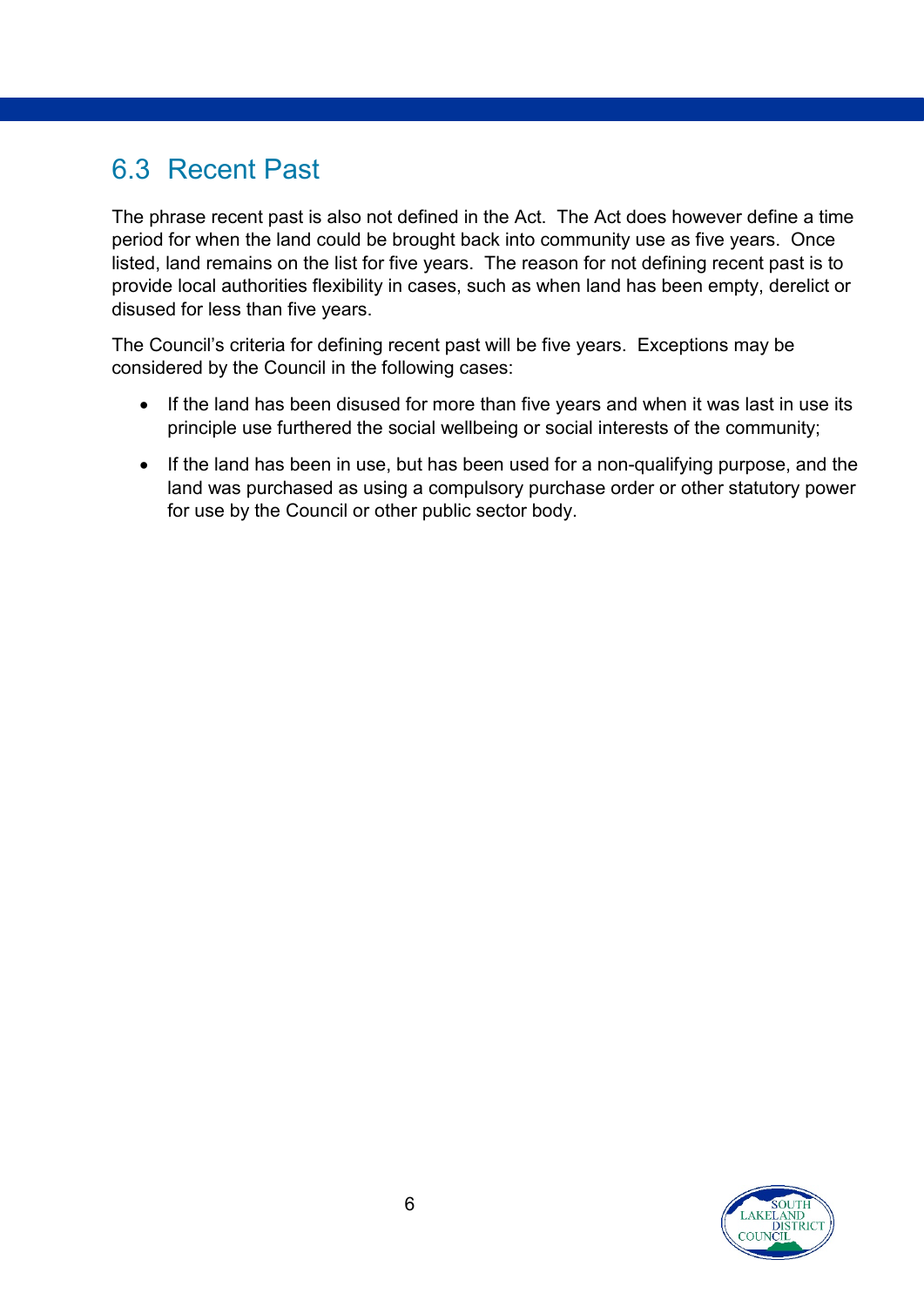#### <span id="page-5-0"></span>6.3 Recent Past

The phrase recent past is also not defined in the Act. The Act does however define a time period for when the land could be brought back into community use as five years. Once listed, land remains on the list for five years. The reason for not defining recent past is to provide local authorities flexibility in cases, such as when land has been empty, derelict or disused for less than five years.

The Council's criteria for defining recent past will be five years. Exceptions may be considered by the Council in the following cases:

- If the land has been disused for more than five vears and when it was last in use its principle use furthered the social wellbeing or social interests of the community;
- If the land has been in use, but has been used for a non-qualifying purpose, and the land was purchased as using a compulsory purchase order or other statutory power for use by the Council or other public sector body.

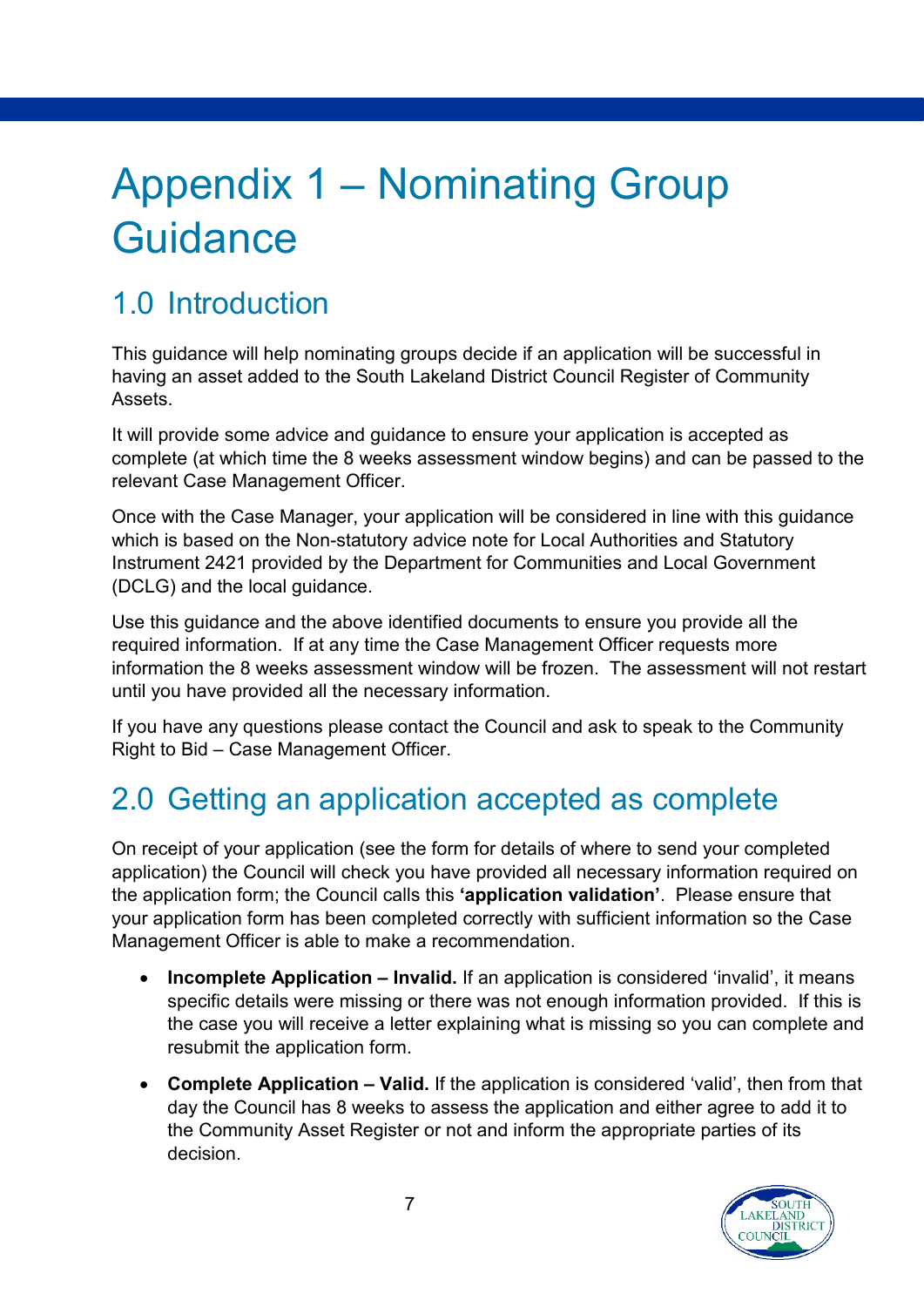# <span id="page-6-0"></span>Appendix 1 – Nominating Group **Guidance**

## <span id="page-6-1"></span>1.0 Introduction

This guidance will help nominating groups decide if an application will be successful in having an asset added to the South Lakeland District Council Register of Community Assets.

It will provide some advice and guidance to ensure your application is accepted as complete (at which time the 8 weeks assessment window begins) and can be passed to the relevant Case Management Officer.

Once with the Case Manager, your application will be considered in line with this guidance which is based on the Non-statutory advice note for Local Authorities and Statutory Instrument 2421 provided by the Department for Communities and Local Government (DCLG) and the local guidance.

Use this guidance and the above identified documents to ensure you provide all the required information. If at any time the Case Management Officer requests more information the 8 weeks assessment window will be frozen. The assessment will not restart until you have provided all the necessary information.

If you have any questions please contact the Council and ask to speak to the Community Right to Bid – Case Management Officer.

## <span id="page-6-2"></span>2.0 Getting an application accepted as complete

On receipt of your application (see the form for details of where to send your completed application) the Council will check you have provided all necessary information required on the application form; the Council calls this **'application validation'**. Please ensure that your application form has been completed correctly with sufficient information so the Case Management Officer is able to make a recommendation.

- **Incomplete Application – Invalid.** If an application is considered 'invalid', it means specific details were missing or there was not enough information provided. If this is the case you will receive a letter explaining what is missing so you can complete and resubmit the application form.
- **Complete Application – Valid.** If the application is considered 'valid', then from that day the Council has 8 weeks to assess the application and either agree to add it to the Community Asset Register or not and inform the appropriate parties of its decision.

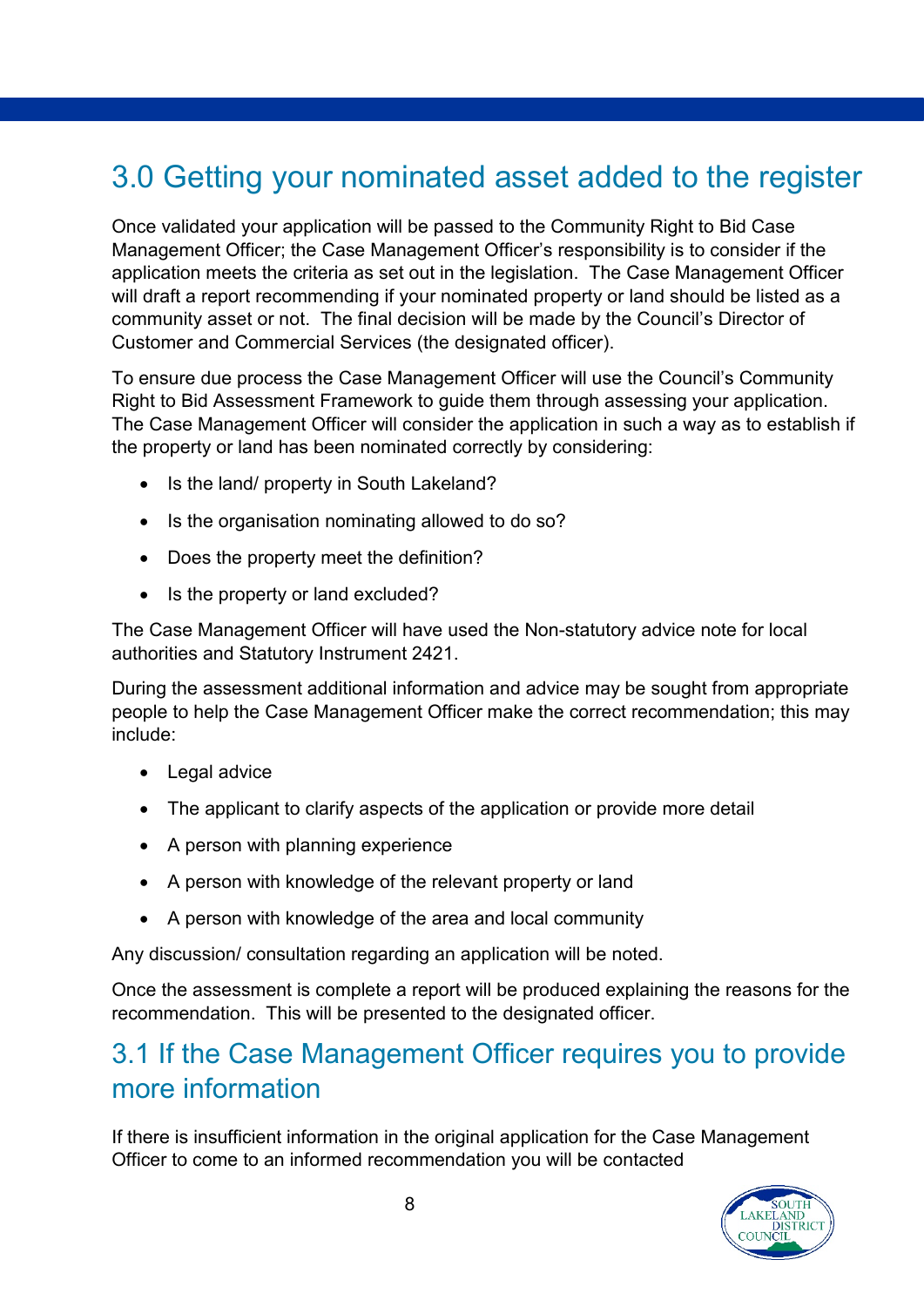#### <span id="page-7-0"></span>3.0 Getting your nominated asset added to the register

Once validated your application will be passed to the Community Right to Bid Case Management Officer; the Case Management Officer's responsibility is to consider if the application meets the criteria as set out in the legislation. The Case Management Officer will draft a report recommending if your nominated property or land should be listed as a community asset or not. The final decision will be made by the Council's Director of Customer and Commercial Services (the designated officer).

To ensure due process the Case Management Officer will use the Council's Community Right to Bid Assessment Framework to guide them through assessing your application. The Case Management Officer will consider the application in such a way as to establish if the property or land has been nominated correctly by considering:

- Is the land/ property in South Lakeland?
- Is the organisation nominating allowed to do so?
- Does the property meet the definition?
- Is the property or land excluded?

The Case Management Officer will have used the Non-statutory advice note for local authorities and Statutory Instrument 2421.

During the assessment additional information and advice may be sought from appropriate people to help the Case Management Officer make the correct recommendation; this may include:

- Legal advice
- The applicant to clarify aspects of the application or provide more detail
- A person with planning experience
- A person with knowledge of the relevant property or land
- A person with knowledge of the area and local community

Any discussion/ consultation regarding an application will be noted.

Once the assessment is complete a report will be produced explaining the reasons for the recommendation. This will be presented to the designated officer.

#### <span id="page-7-1"></span>3.1 If the Case Management Officer requires you to provide more information

If there is insufficient information in the original application for the Case Management Officer to come to an informed recommendation you will be contacted

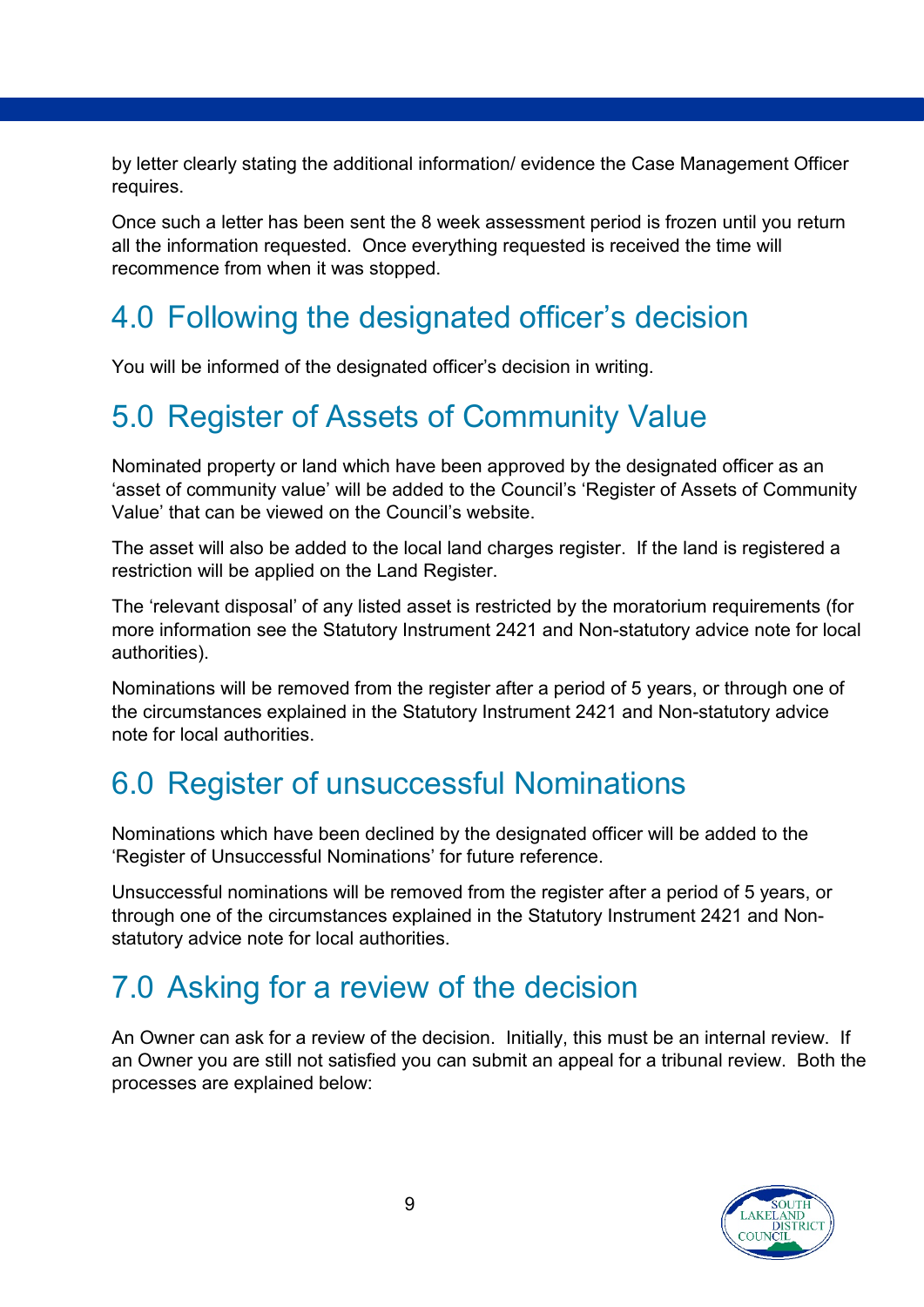by letter clearly stating the additional information/ evidence the Case Management Officer requires.

Once such a letter has been sent the 8 week assessment period is frozen until you return all the information requested. Once everything requested is received the time will recommence from when it was stopped.

#### <span id="page-8-0"></span>4.0 Following the designated officer's decision

You will be informed of the designated officer's decision in writing.

#### <span id="page-8-1"></span>5.0 Register of Assets of Community Value

Nominated property or land which have been approved by the designated officer as an 'asset of community value' will be added to the Council's 'Register of Assets of Community Value' that can be viewed on the Council's website.

The asset will also be added to the local land charges register. If the land is registered a restriction will be applied on the Land Register.

The 'relevant disposal' of any listed asset is restricted by the moratorium requirements (for more information see the Statutory Instrument 2421 and Non-statutory advice note for local authorities).

Nominations will be removed from the register after a period of 5 years, or through one of the circumstances explained in the Statutory Instrument 2421 and Non-statutory advice note for local authorities.

#### <span id="page-8-2"></span>6.0 Register of unsuccessful Nominations

Nominations which have been declined by the designated officer will be added to the 'Register of Unsuccessful Nominations' for future reference.

Unsuccessful nominations will be removed from the register after a period of 5 years, or through one of the circumstances explained in the Statutory Instrument 2421 and Nonstatutory advice note for local authorities.

## <span id="page-8-3"></span>7.0 Asking for a review of the decision

An Owner can ask for a review of the decision. Initially, this must be an internal review. If an Owner you are still not satisfied you can submit an appeal for a tribunal review. Both the processes are explained below: